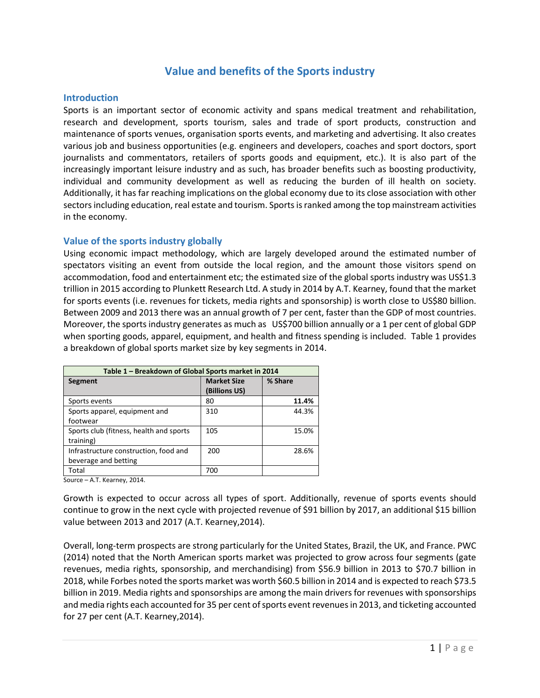# **Value and benefits of the Sports industry**

### **Introduction**

Sports is an important sector of economic activity and spans medical treatment and rehabilitation, research and development, sports tourism, sales and trade of sport products, construction and maintenance of sports venues, organisation sports events, and marketing and advertising. It also creates various job and business opportunities (e.g. engineers and developers, coaches and sport doctors, sport journalists and commentators, retailers of sports goods and equipment, etc.). It is also part of the increasingly important leisure industry and as such, has broader benefits such as boosting productivity, individual and community development as well as reducing the burden of ill health on society. Additionally, it has far reaching implications on the global economy due to its close association with other sectors including education, real estate and tourism. Sports is ranked among the top mainstream activities in the economy.

### **Value of the sports industry globally**

Using economic impact methodology, which are largely developed around the estimated number of spectators visiting an event from outside the local region, and the amount those visitors spend on accommodation, food and entertainment etc; the estimated size of the global sports industry was US\$1.3 trillion in 2015 according to Plunkett Research Ltd. A study in 2014 by A.T. Kearney, found that the market for sports events (i.e. revenues for tickets, media rights and sponsorship) is worth close to US\$80 billion. Between 2009 and 2013 there was an annual growth of 7 per cent, faster than the GDP of most countries. Moreover, the sports industry generates as much as US\$700 billion annually or a 1 per cent of global GDP when sporting goods, apparel, equipment, and health and fitness spending is included. Table 1 provides a breakdown of global sports market size by key segments in 2014.

| Table 1 – Breakdown of Global Sports market in 2014 |                    |         |
|-----------------------------------------------------|--------------------|---------|
| Segment                                             | <b>Market Size</b> | % Share |
|                                                     | (Billions US)      |         |
| Sports events                                       | 80                 | 11.4%   |
| Sports apparel, equipment and                       | 310                | 44.3%   |
| footwear                                            |                    |         |
| Sports club (fitness, health and sports             | 105                | 15.0%   |
| training)                                           |                    |         |
| Infrastructure construction, food and               | 200                | 28.6%   |
| beverage and betting                                |                    |         |
| Total                                               | 700                |         |

Source – A.T. Kearney, 2014.

Growth is expected to occur across all types of sport. Additionally, revenue of sports events should continue to grow in the next cycle with projected revenue of \$91 billion by 2017, an additional \$15 billion value between 2013 and 2017 (A.T. Kearney,2014).

Overall, long-term prospects are strong particularly for the United States, Brazil, the UK, and France. PWC (2014) noted that the North American sports market was projected to grow across four segments (gate revenues, media rights, sponsorship, and merchandising) from \$56.9 billion in 2013 to \$70.7 billion in 2018, while Forbes noted the sports market was worth \$60.5 billion in 2014 and is expected to reach \$73.5 billion in 2019. Media rights and sponsorships are among the main drivers for revenues with sponsorships and media rights each accounted for 35 per cent of sports event revenues in 2013, and ticketing accounted for 27 per cent (A.T. Kearney,2014).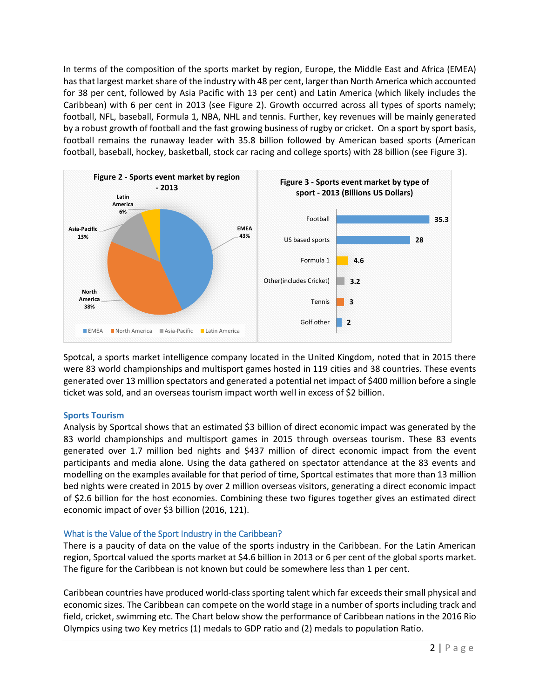In terms of the composition of the sports market by region, Europe, the Middle East and Africa (EMEA) has that largest market share of the industry with 48 per cent, larger than North America which accounted for 38 per cent, followed by Asia Pacific with 13 per cent) and Latin America (which likely includes the Caribbean) with 6 per cent in 2013 (see Figure 2). Growth occurred across all types of sports namely; football, NFL, baseball, Formula 1, NBA, NHL and tennis. Further, key revenues will be mainly generated by a robust growth of football and the fast growing business of rugby or cricket. On a sport by sport basis, football remains the runaway leader with 35.8 billion followed by American based sports (American football, baseball, hockey, basketball, stock car racing and college sports) with 28 billion (see Figure 3).



Spotcal, a sports market intelligence company located in the United Kingdom, noted that in 2015 there were 83 world championships and multisport games hosted in 119 cities and 38 countries. These events generated over 13 million spectators and generated a potential net impact of \$400 million before a single ticket was sold, and an overseas tourism impact worth well in excess of \$2 billion.

### **Sports Tourism**

Analysis by Sportcal shows that an estimated \$3 billion of direct economic impact was generated by the 83 world championships and multisport games in 2015 through overseas tourism. These 83 events generated over 1.7 million bed nights and \$437 million of direct economic impact from the event participants and media alone. Using the data gathered on spectator attendance at the 83 events and modelling on the examples available for that period of time, Sportcal estimates that more than 13 million bed nights were created in 2015 by over 2 million overseas visitors, generating a direct economic impact of \$2.6 billion for the host economies. Combining these two figures together gives an estimated direct economic impact of over \$3 billion (2016, 121).

# What is the Value of the Sport Industry in the Caribbean?

There is a paucity of data on the value of the sports industry in the Caribbean. For the Latin American region, Sportcal valued the sports market at \$4.6 billion in 2013 or 6 per cent of the global sports market. The figure for the Caribbean is not known but could be somewhere less than 1 per cent.

Caribbean countries have produced world-class sporting talent which far exceeds their small physical and economic sizes. The Caribbean can compete on the world stage in a number of sports including track and field, cricket, swimming etc. The Chart below show the performance of Caribbean nations in the 2016 Rio Olympics using two Key metrics (1) medals to GDP ratio and (2) medals to population Ratio.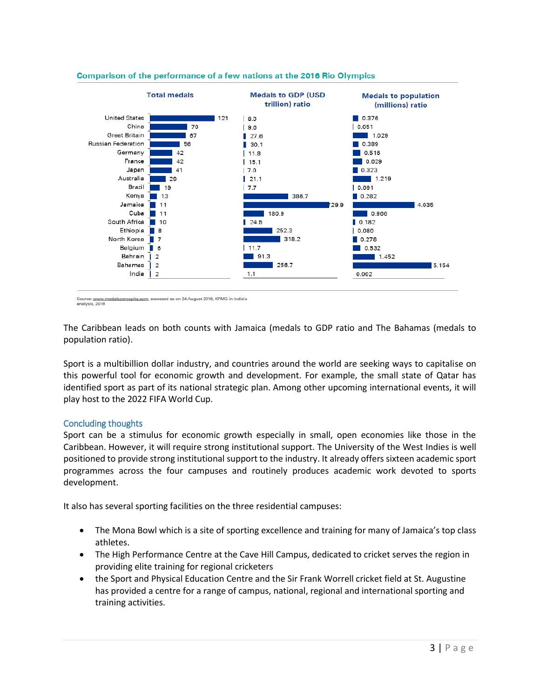

#### Comparison of the performance of a few nations at the 2016 Rio Olympics

Source: www.medalspercapita.com, accessed as on 24 August 2016, KPMG in India's analysis, 2016

The Caribbean leads on both counts with Jamaica (medals to GDP ratio and The Bahamas (medals to population ratio).

Sport is a multibillion dollar industry, and countries around the world are seeking ways to capitalise on this powerful tool for economic growth and development. For example, the small state of Qatar has identified sport as part of its national strategic plan. Among other upcoming international events, it will play host to the 2022 FIFA World Cup.

# Concluding thoughts

Sport can be a stimulus for economic growth especially in small, open economies like those in the Caribbean. However, it will require strong institutional support. The University of the West Indies is well positioned to provide strong institutional support to the industry. It already offers sixteen academic sport programmes across the four campuses and routinely produces academic work devoted to sports development.

It also has several sporting facilities on the three residential campuses:

- The Mona Bowl which is a site of sporting excellence and training for many of Jamaica's top class athletes.
- The High Performance Centre at the Cave Hill Campus, dedicated to cricket serves the region in providing elite training for regional cricketers
- the Sport and Physical Education Centre and the Sir Frank Worrell cricket field at St. Augustine has provided a centre for a range of campus, national, regional and international sporting and training activities.